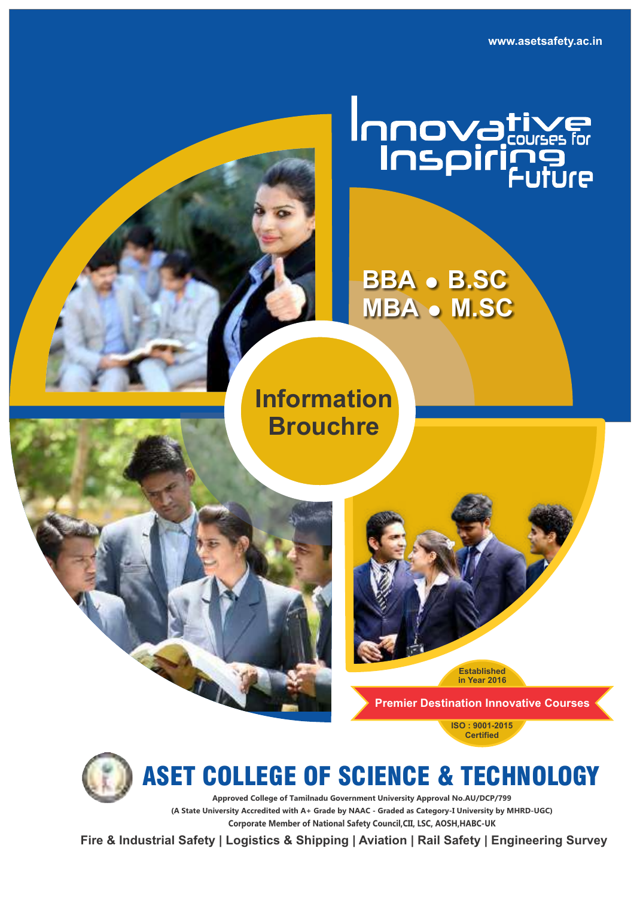**www.asetsafety.ac.in**

# Innovative

## **BBA** = **B.SC MBA** • **M.SC**

**Information Brouchre**

> **Established in Year 2016**

**Premier Destination Innovative Courses** 

**ISO : 9001-2015 Certified**



ASET COLLEGE OF SCIENCE & TECHNOLOGY

**Corporate Member of National Safety Council,CII, LSC, AOSH,HABC-UK Approved College of Tamilnadu Government University Approval No.AU/DCP/799 (A State University Accredited with A+ Grade by NAAC - Graded as Category-I University by MHRD-UGC)**

**Fire & Industrial Safety | Logistics & Shipping | Aviation | Rail Safety | Engineering Survey**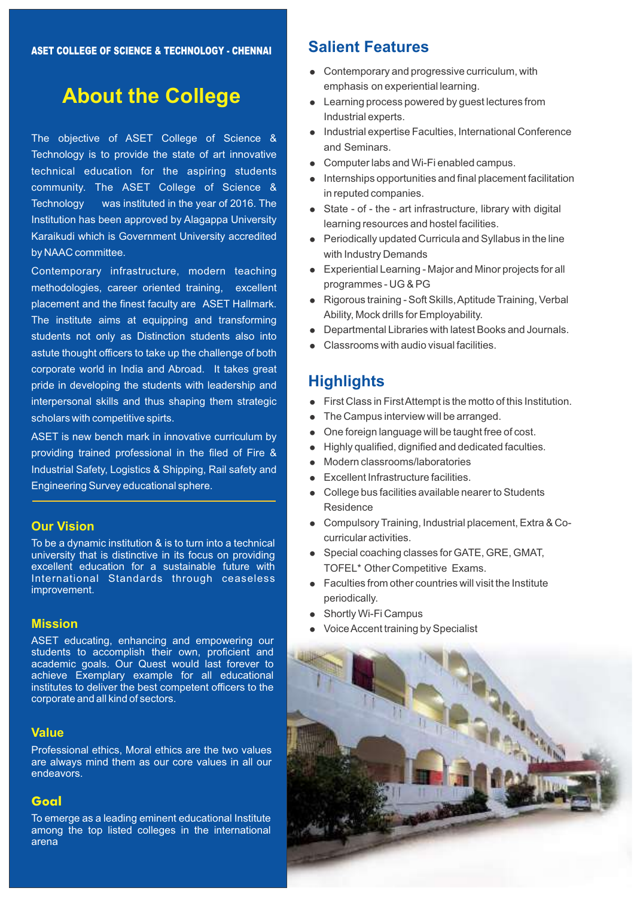### **About the College**

The objective of ASET College of Science & Technology is to provide the state of art innovative technical education for the aspiring students community. The ASET College of Science & Technology was instituted in the year of 2016. The Institution has been approved by Alagappa University Karaikudi which is Government University accredited by NAAC committee.

Contemporary infrastructure, modern teaching methodologies, career oriented training, excellent placement and the finest faculty are ASET Hallmark. The institute aims at equipping and transforming students not only as Distinction students also into astute thought officers to take up the challenge of both corporate world in India and Abroad. It takes great pride in developing the students with leadership and interpersonal skills and thus shaping them strategic scholars with competitive spirts.

ASET is new bench mark in innovative curriculum by providing trained professional in the filed of Fire & Industrial Safety, Logistics & Shipping, Rail safety and Engineering Survey educational sphere.

#### **Our Vision**

To be a dynamic institution & is to turn into a technical university that is distinctive in its focus on providing excellent education for a sustainable future with International Standards through ceaseless improvement.

#### **Mission**

ASET educating, enhancing and empowering our students to accomplish their own, proficient and academic goals. Our Quest would last forever to achieve Exemplary example for all educational institutes to deliver the best competent officers to the corporate and all kind of sectors.

#### **Value**

Professional ethics, Moral ethics are the two values are always mind them as our core values in all our endeavors.

#### **Goal**

To emerge as a leading eminent educational Institute among the top listed colleges in the international arena

#### **Salient Features**

- Contemporary and progressive curriculum, with emphasis on experiential learning.
- Learning process powered by guest lectures from Industrial experts.
- Industrial expertise Faculties, International Conference and Seminars.
- Computer labs and Wi-Fi enabled campus.
- $\bullet$  Internships opportunities and final placement facilitation in reputed companies.
- State of the art infrastructure, library with digital learning resources and hostel facilities.
- Periodically updated Curricula and Syllabus in the line with Industry Demands
- Experiential Learning Major and Minor projects for all programmes - UG & PG
- Rigorous training Soft Skills, Aptitude Training, Verbal Ability, Mock drills for Employability.
- Departmental Libraries with latest Books and Journals.
- Classrooms with audio visual facilities.

#### **Highlights**

- First Class in First Attempt is the motto of this Institution.
- The Campus interview will be arranged.
- One foreign language will be taught free of cost.
- Highly qualified, dignified and dedicated faculties.
- Modern classrooms/laboratories
- Excellent Infrastructure facilities.
- College bus facilities available nearer to Students **Residence**
- = Compulsory Training, Industrial placement, Extra & Cocurricular activities.
- Special coaching classes for GATE, GRE, GMAT, TOFEL\* Other Competitive Exams.
- $\bullet$  Faculties from other countries will visit the Institute periodically.
- Shortly Wi-Fi Campus
- Voice Accent training by Specialist

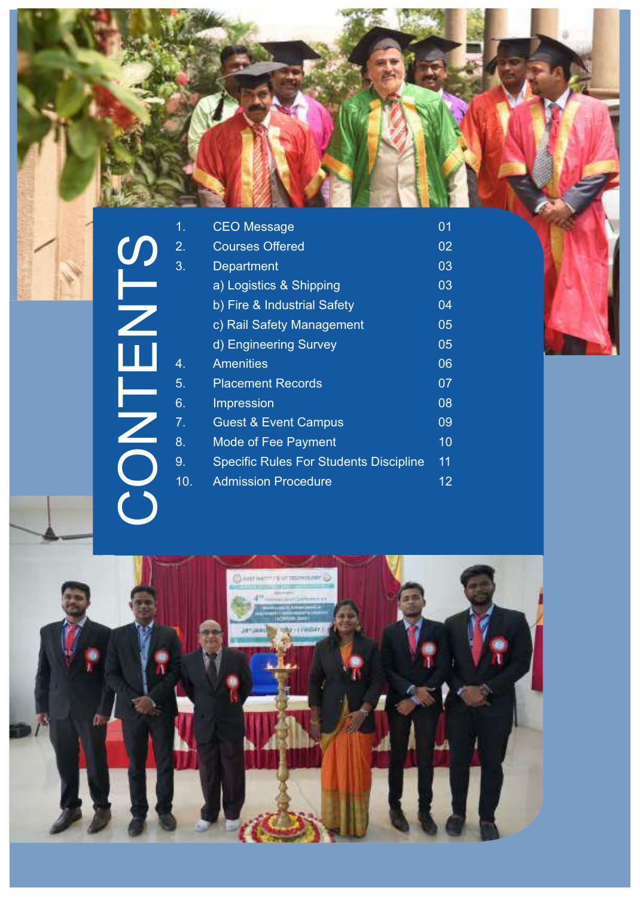CONTENTS

| 1.               | <b>CEO Message</b>                            | 01 |
|------------------|-----------------------------------------------|----|
| $\overline{2}$ . | <b>Courses Offered</b>                        | 02 |
| 3.               | Department                                    | 03 |
|                  | a) Logistics & Shipping                       | 03 |
|                  | b) Fire & Industrial Safety                   | 04 |
|                  | c) Rail Safety Management                     | 05 |
|                  | d) Engineering Survey                         | 05 |
| 4.               | <b>Amenities</b>                              | 06 |
| 5.               | <b>Placement Records</b>                      | 07 |
| 6.               | Impression                                    | 08 |
| 7.               | <b>Guest &amp; Event Campus</b>               | 09 |
| 8.               | <b>Mode of Fee Payment</b>                    | 10 |
| 9.               | <b>Specific Rules For Students Discipline</b> | 11 |
| 10.              | <b>Admission Procedure</b>                    | 12 |

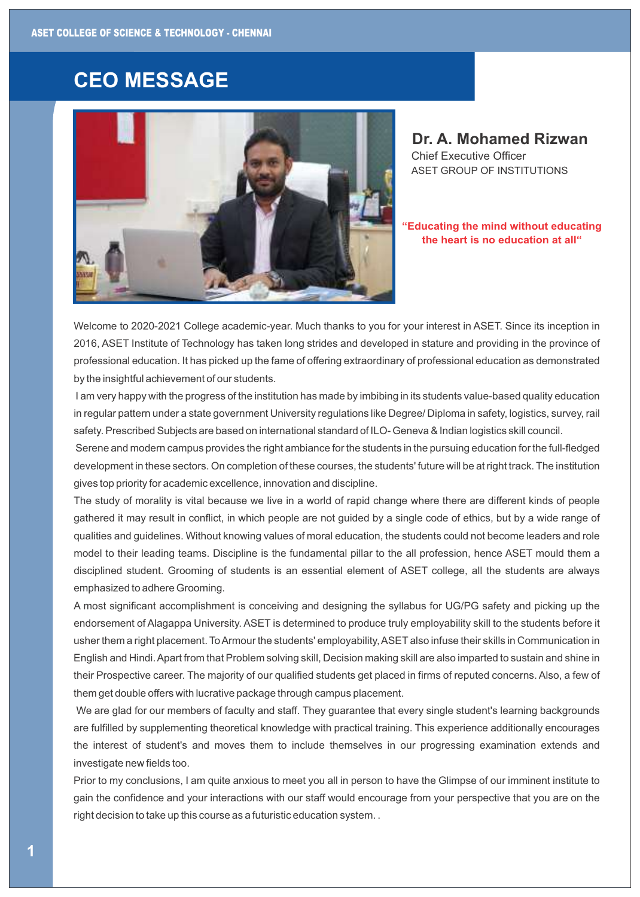#### **CEO MESSAGE**



**Dr. A. Mohamed Rizwan**  Chief Executive Officer ASET GROUP OF INSTITUTIONS

#### **"Educating the mind without educating the heart is no education at all"**

Welcome to 2020-2021 College academic-year. Much thanks to you for your interest in ASET. Since its inception in 2016, ASET Institute of Technology has taken long strides and developed in stature and providing in the province of professional education. It has picked up the fame of offering extraordinary of professional education as demonstrated by the insightful achievement of our students.

I am very happy with the progress of the institution has made by imbibing in its students value-based quality education in regular pattern under a state government University regulations like Degree/ Diploma in safety, logistics, survey, rail safety. Prescribed Subjects are based on international standard of ILO- Geneva & Indian logistics skill council.

Serene and modern campus provides the right ambiance for the students in the pursuing education for the full-fledged development in these sectors. On completion of these courses, the students' future will be at right track. The institution gives top priority for academic excellence, innovation and discipline.

The study of morality is vital because we live in a world of rapid change where there are different kinds of people gathered it may result in conflict, in which people are not guided by a single code of ethics, but by a wide range of qualities and guidelines. Without knowing values of moral education, the students could not become leaders and role model to their leading teams. Discipline is the fundamental pillar to the all profession, hence ASET mould them a disciplined student. Grooming of students is an essential element of ASET college, all the students are always emphasized to adhere Grooming.

A most significant accomplishment is conceiving and designing the syllabus for UG/PG safety and picking up the endorsement of Alagappa University. ASET is determined to produce truly employability skill to the students before it usher them a right placement. To Armour the students' employability, ASET also infuse their skills in Communication in English and Hindi. Apart from that Problem solving skill, Decision making skill are also imparted to sustain and shine in their Prospective career. The majority of our qualified students get placed in firms of reputed concerns. Also, a few of them get double offers with lucrative package through campus placement.

We are glad for our members of faculty and staff. They guarantee that every single student's learning backgrounds are fulfilled by supplementing theoretical knowledge with practical training. This experience additionally encourages the interest of student's and moves them to include themselves in our progressing examination extends and investigate new fields too.

Prior to my conclusions, I am quite anxious to meet you all in person to have the Glimpse of our imminent institute to gain the confidence and your interactions with our staff would encourage from your perspective that you are on the right decision to take up this course as a futuristic education system. .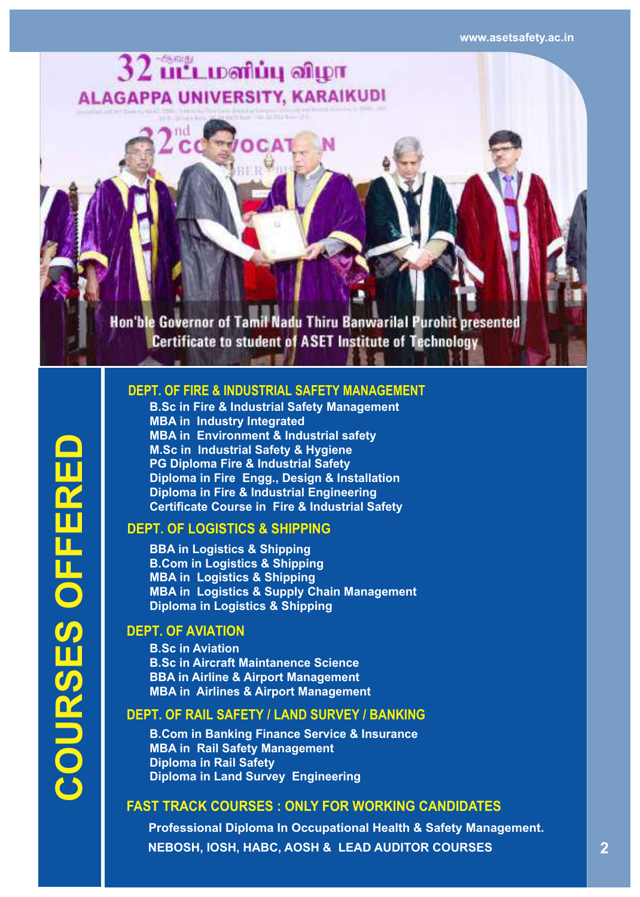

#### **DEPT. OF FIRE & INDUSTRIAL SAFETY MANAGEMENT DEPT. OF FIRE & INDUSTRIAL SAFETY MANAGEMENT**

**B.Sc in Fire & Industrial Safety Management MBA in Industry Integrated MBA in Environment & Industrial safety M.Sc in Industrial Safety & Hygiene PG Diploma Fire & Industrial Safety Diploma in Fire Engg., Design & Installation Diploma in Fire & Industrial Engineering Certificate Course in Fire & Industrial Safety** 

#### **DEPT. OF LOGISTICS & SHIPPING**

**BBA in Logistics & Shipping B.Com in Logistics & Shipping MBA in Logistics & Shipping MBA in Logistics & Supply Chain Management Diploma in Logistics & Shipping** 

#### **DEPT. OF AVIATION**

**B.Sc in Aviation B.Sc in Aircraft Maintanence Science BBA in Airline & Airport Management MBA in Airlines & Airport Management**

#### **DEPT. OF RAIL SAFETY / LAND SURVEY / BANKING**

**B.Com in Banking Finance Service & Insurance MBA in Rail Safety Management Diploma in Rail Safety Diploma in Land Survey Engineering**

#### **FAST TRACK COURSES : ONLY FOR WORKING CANDIDATES**

**Professional Diploma In Occupational Health & Safety Management. NEBOSH, IOSH, HABC, AOSH & LEAD AUDITOR COURSES**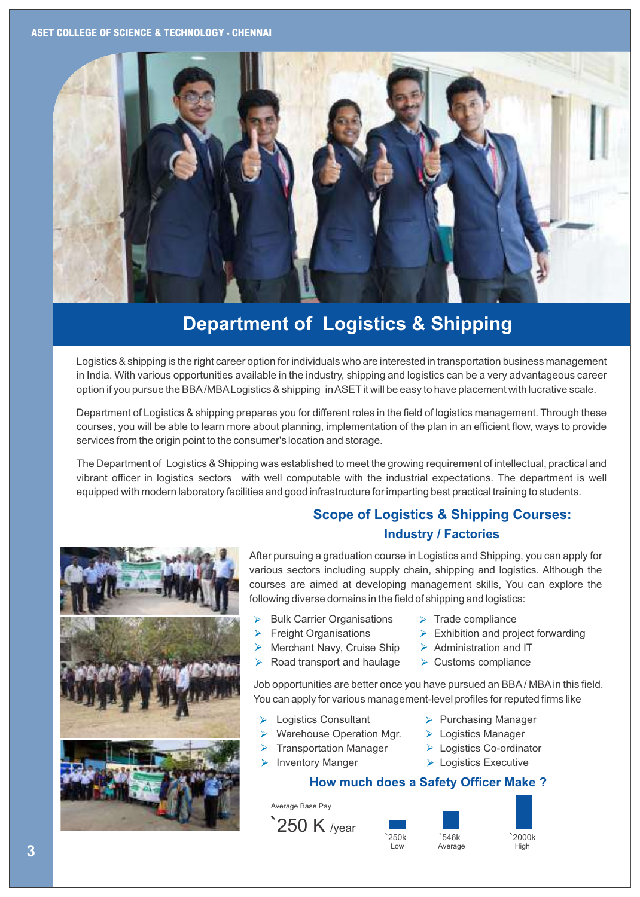

#### **Department of Logistics & Shipping**

Logistics & shipping is the right career option for individuals who are interested in transportation business management in India. With various opportunities available in the industry, shipping and logistics can be a very advantageous career option if you pursue the BBA/MBA Logistics & shipping in ASET it will be easy to have placement with lucrative scale.

Department of Logistics & shipping prepares you for different roles in the field of logistics management. Through these courses, you will be able to learn more about planning, implementation of the plan in an efficient flow, ways to provide services from the origin point to the consumer's location and storage.

The Department of Logistics & Shipping was established to meet the growing requirement of intellectual, practical and vibrant officer in logistics sectors with well computable with the industrial expectations. The department is well equipped with modern laboratory facilities and good infrastructure for imparting best practical training to students.



#### **Scope of Logistics & Shipping Courses: Industry / Factories**

After pursuing a graduation course in Logistics and Shipping, you can apply for various sectors including supply chain, shipping and logistics. Although the courses are aimed at developing management skills, You can explore the following diverse domains in the field of shipping and logistics:

- Bulk Carrier Organisations
- Freight Organisations
	- Merchant Navy, Cruise Ship
- Road transport and haulage
- $\triangleright$  Trade compliance
- $\triangleright$  Exhibition and project forwarding
- $\triangleright$  Administration and IT
- $\triangleright$  Customs compliance

Job opportunities are better once you have pursued an BBA/MBA in this field. You can apply for various management-level profiles for reputed firms like

- $\blacktriangleright$ Logistics Consultant
- Warehouse Operation Mgr.
- Transportation Manager
- Inventory Manger
- $\triangleright$  Purchasing Manager
- > Logistics Manager
- Logistics Co-ordinator
- **Logistics Executive**

#### **How much does a Safety Officer Make ?**

Average Base Pay



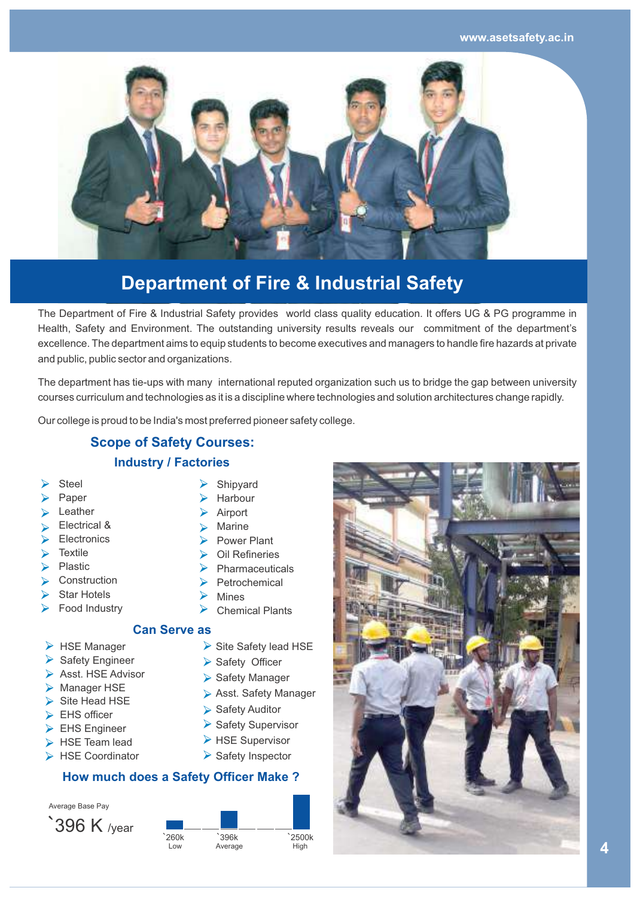**www.asetsafety.ac.in**



## **Department of Fire & Industrial Safety**

The Department of Fire & Industrial Safety provides world class quality education. It offers UG & PG programme in Health, Safety and Environment. The outstanding university results reveals our commitment of the department's excellence. The department aims to equip students to become executives and managers to handle fire hazards at private and public, public sector and organizations.

The department has tie-ups with many international reputed organization such us to bridge the gap between university courses curriculum and technologies as it is a discipline where technologies and solution architectures change rapidly.

Our college is proud to be India's most preferred pioneer safety college.

#### **Scope of Safety Courses: Industry / Factories**

- Steel
- Paper
- Leather
- Electrical &
- **Electronics**
- $\blacktriangleright$ Textile
- Plastic  $\blacktriangleright$
- **Construction**  $\blacktriangleright$
- Star Hotels
- Food Industry
- $\triangleright$  HSE Manager
- $\triangleright$  Safety Engineer
- $\triangleright$  Asst. HSE Advisor
- > Manager HSE
- $\triangleright$  Site Head HSE
- EHS officer
- EHS Engineer
- HSE Team lead
- ▶ HSE Coordinator

Average Base Pay



| ⋗ | Harbour |
|---|---------|
| ⋗ | Airport |

Shipyard

- Marine
- Power Plant
- Oil Refineries
- $\blacktriangleright$ Pharmaceuticals
- Petrochemical  $\blacktriangleright$ Mines
- Chemical Plants
- **Can Serve as**
	- $\triangleright$  Site Safety lead HSE
	- Safety Officer
	- Safety Manager
	- Asst. Safety Manager
	- Safety Auditor
	- $\triangleright$  Safety Supervisor
	- $\triangleright$  HSE Supervisor
	- $\triangleright$  Safety Inspector

**How much does a Safety Officer Make ?**



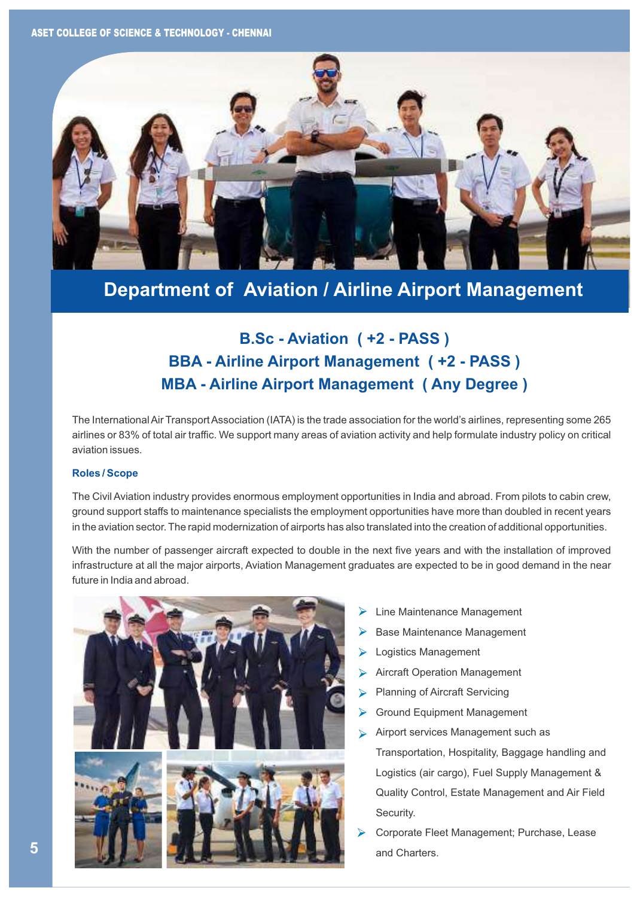ASET COLLEGE OF SCIENCE & TECHNOLOGY - CHENNAI



#### **Department of Aviation / Airline Airport Management**

#### **B.Sc - Aviation ( +2 - PASS ) BBA - Airline Airport Management ( +2 - PASS ) MBA - Airline Airport Management ( Any Degree )**

The International Air Transport Association (IATA) is the trade association for the world's airlines, representing some 265 airlines or 83% of total air traffic. We support many areas of aviation activity and help formulate industry policy on critical aviation issues.

#### **Roles / Scope**

The Civil Aviation industry provides enormous employment opportunities in India and abroad. From pilots to cabin crew, ground support staffs to maintenance specialists the employment opportunities have more than doubled in recent years in the aviation sector. The rapid modernization of airports has also translated into the creation of additional opportunities.

With the number of passenger aircraft expected to double in the next five years and with the installation of improved infrastructure at all the major airports, Aviation Management graduates are expected to be in good demand in the near future in India and abroad.



- Line Maintenance Management
- Base Maintenance Management
- Logistics Management
- Aircraft Operation Management
- Planning of Aircraft Servicing
- Ground Equipment Management ↘
- Airport services Management such as  $\blacktriangleright$ Transportation, Hospitality, Baggage handling and Logistics (air cargo), Fuel Supply Management & Quality Control, Estate Management and Air Field Security.
- Corporate Fleet Management; Purchase, Lease and Charters.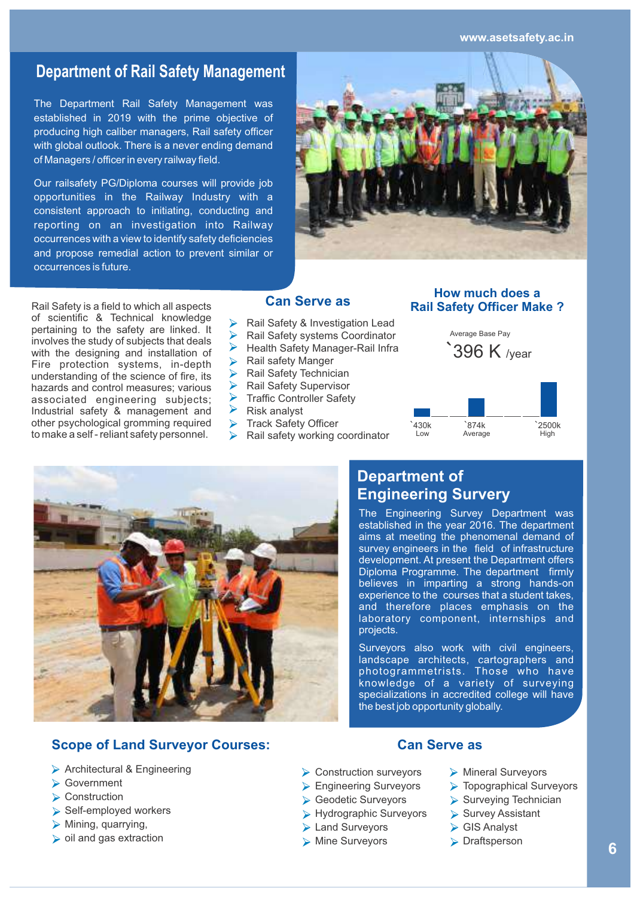**www.asetsafety.ac.in**

#### **Department of Rail Safety Management**

The Department Rail Safety Management was established in 2019 with the prime objective of producing high caliber managers, Rail safety officer with global outlook. There is a never ending demand of Managers / officer in every railway field.

Our railsafety PG/Diploma courses will provide job opportunities in the Railway Industry with a consistent approach to initiating, conducting and reporting on an investigation into Railway occurrences with a view to identify safety deficiencies and propose remedial action to prevent similar or occurrences is future.



Rail Safety is a field to which all aspects of scientific & Technical knowledge pertaining to the safety are linked. It involves the study of subjects that deals with the designing and installation of Fire protection systems, in-depth understanding of the science of fire, its hazards and control measures; various associated engineering subjects; Industrial safety & management and other psychological gromming required to make a self - reliant safety personnel.

#### **Can Serve as**

- Rail Safety & Investigation Lead
- Rail Safety systems Coordinator
- $\blacktriangleright$ Health Safety Manager-Rail Infra
- Rail safety Manger
- Rail Safety Technician
- Rail Safety Supervisor
- Traffic Controller Safety
- $\blacktriangleright$ Risk analyst
- Track Safety Officer
- Rail safety working coordinator

#### **How much does a Rail Safety Officer Make ?**





#### **Department of Engineering Survery**

The Engineering Survey Department was established in the year 2016. The department aims at meeting the phenomenal demand of survey engineers in the field of infrastructure development. At present the Department offers Diploma Programme. The department firmly believes in imparting a strong hands-on experience to the courses that a student takes, and therefore places emphasis on the laboratory component, internships and projects.

Surveyors also work with civil engineers, landscape architects, cartographers and photogrammetrists. Those who have knowledge of a variety of surveying specializations in accredited college will have the best job opportunity globally.

#### **Scope of Land Surveyor Courses:**

- Architectural & Engineering
- **► Government**
- Construction
- $\triangleright$  Self-employed workers
- $\triangleright$  Mining, quarrying,
- $\triangleright$  oil and gas extraction

- **▶ Construction surveyors**
- **Engineering Surveyors**
- Geodetic Surveyors
- Hydrographic Surveyors
- **► Land Surveyors**
- Mine Surveyors

#### **Can Serve as**

- Mineral Surveyors
- **Topographical Surveyors**
- $\triangleright$  Surveying Technician
- $\triangleright$  Survey Assistant
- GIS Analyst
- **Draftsperson**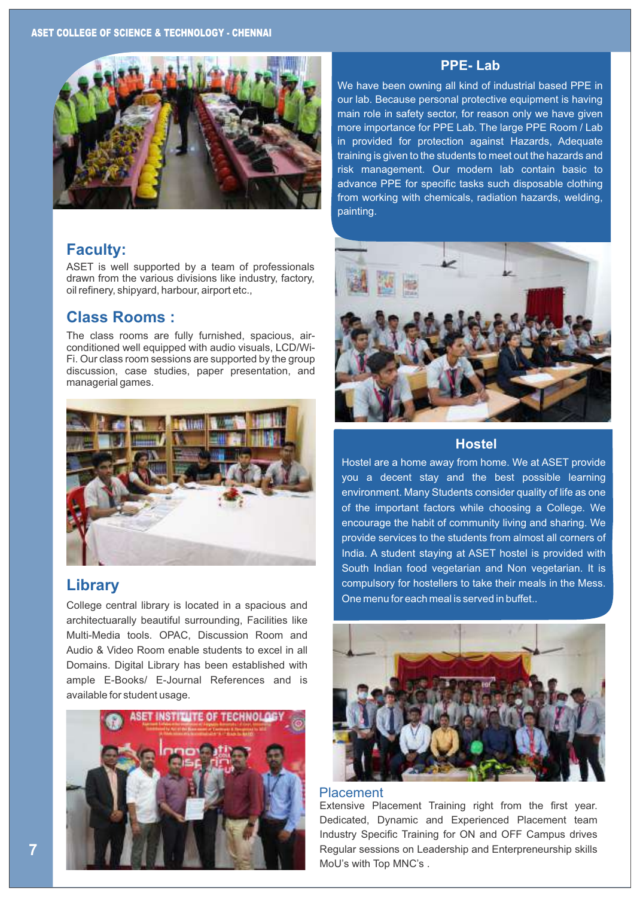

#### **Faculty:**

ASET is well supported by a team of professionals drawn from the various divisions like industry, factory, oil refinery, shipyard, harbour, airport etc.,

#### **Class Rooms :**

The class rooms are fully furnished, spacious, airconditioned well equipped with audio visuals, LCD/Wi-Fi. Our class room sessions are supported by the group discussion, case studies, paper presentation, and managerial games.



#### **Library**

College central library is located in a spacious and architectuarally beautiful surrounding, Facilities like Multi-Media tools. OPAC, Discussion Room and Audio & Video Room enable students to excel in all Domains. Digital Library has been established with ample E-Books/ E-Journal References and is available for student usage.



#### **PPE- Lab**

We have been owning all kind of industrial based PPE in our lab. Because personal protective equipment is having main role in safety sector, for reason only we have given more importance for PPE Lab. The large PPE Room / Lab in provided for protection against Hazards, Adequate training is given to the students to meet out the hazards and risk management. Our modern lab contain basic to advance PPE for specific tasks such disposable clothing from working with chemicals, radiation hazards, welding, painting.



#### **Hostel**

Hostel are a home away from home. We at ASET provide you a decent stay and the best possible learning environment. Many Students consider quality of life as one of the important factors while choosing a College. We encourage the habit of community living and sharing. We provide services to the students from almost all corners of India. A student staying at ASET hostel is provided with South Indian food vegetarian and Non vegetarian. It is compulsory for hostellers to take their meals in the Mess. One menu for each meal is served in buffet..



#### Placement

Extensive Placement Training right from the first year. Dedicated, Dynamic and Experienced Placement team Industry Specific Training for ON and OFF Campus drives Regular sessions on Leadership and Enterpreneurship skills MoU's with Top MNC's .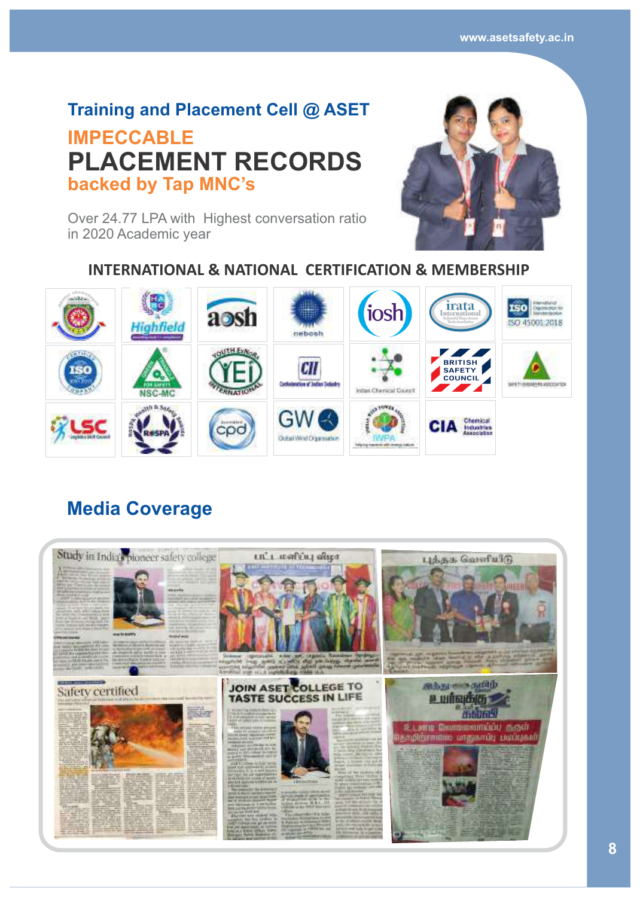#### **Training and Placement Cell @ ASET**

### **IMPECCABLE backed by Tap MNC's PLACEMENT RECORDS**



Over 24.77 LPA with Highest conversation ratio in 2020 Academic year

#### **INTERNATIONAL & NATIONAL CERTIFICATION & MEMBERSHIP**



#### **Media Coverage**

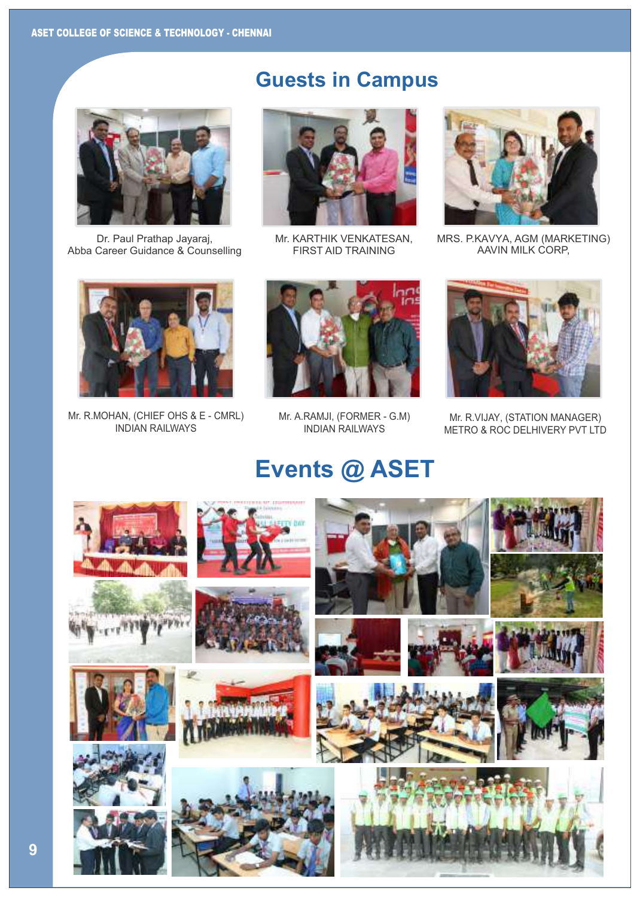

Dr. Paul Prathap Jayaraj, Abba Career Guidance & Counselling

## **Guests in Campus**



Mr. KARTHIK VENKATESAN, FIRST AID TRAINING



MRS. P.KAVYA, AGM (MARKETING) AAVIN MILK CORP,



Mr. R.MOHAN, (CHIEF OHS & E - CMRL) INDIAN RAILWAYS



Mr. A.RAMJI, (FORMER - G.M) INDIAN RAILWAYS



Mr. R.VIJAY, (STATION MANAGER) METRO & ROC DELHIVERY PVT LTD

## **Events @ ASET**

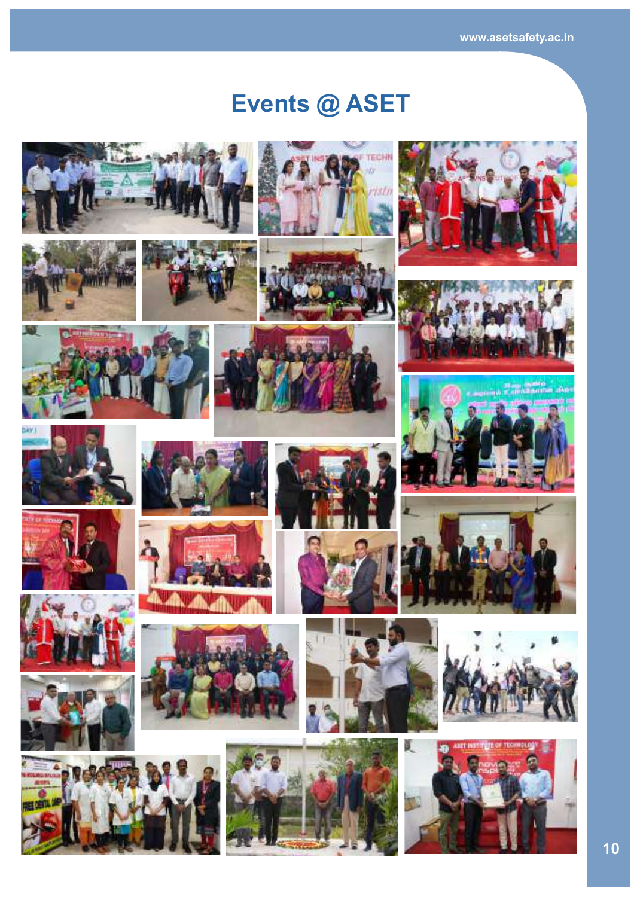# **Events @ ASET**





































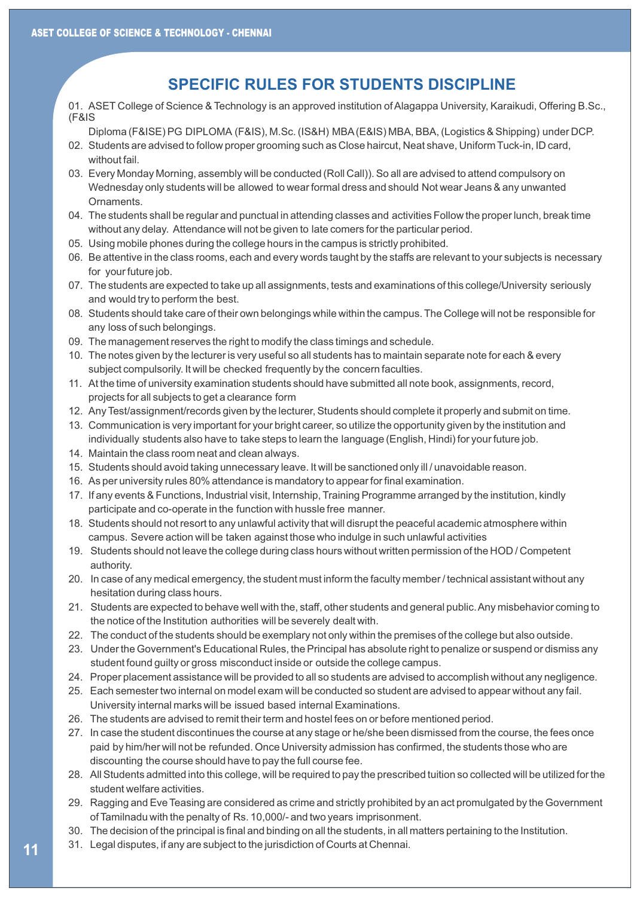#### **SPECIFIC RULES FOR STUDENTS DISCIPLINE**

01. ASET College of Science & Technology is an approved institution of Alagappa University, Karaikudi, Offering B.Sc., (F&IS

Diploma (F&ISE) PG DIPLOMA (F&IS), M.Sc. (IS&H) MBA (E&IS) MBA, BBA, (Logistics & Shipping) under DCP.

- 02. Students are advised to follow proper grooming such as Close haircut, Neat shave, Uniform Tuck-in, ID card, without fail. Diploma (F&ISE) PG DIPLOMA (F&IS), M.Sc. (IS&H) MBA (E&IS) MBA, BBA, (Logistics & Shipping) under<br>02. Students are advised to follow proper grooming such as Close haircut, Neat shave, Uniform Tuck-in, ID card<br>03. Every Mon
- 03. Every Monday Morning, assembly will be conducted (Roll Call)). So all are advised to attend compulsory on Wednesday only students will be allowed to wear formal dress and should Not wear Jeans & any unwanted **Ornaments** SSET CULTEDE OF SULENCE of Technology - CHENNAI<br>
19 A SEFT College of Science & Technology i<br>
(F&IS<br>
02. Students are advised of Collom proper gro<br>
without fall.<br>
19 C. Students are advised of Collom proper gro<br>
without fa
	- 04. The students shall be regular and punctual in attending classes and activities Follow the proper lunch, break time without any delay. Attendance will not be given to late comers for the particular period.
	- 05. Using mobile phones during the college hours in the campus is strictly prohibited.
	- 06. Be attentive in the class rooms, each and every words taught by the staffs are relevant to your subjects is necessary for your future job. 04. The students shall be regular and punctual in attending classes and activities Follow the proper lunch, break<br>without any delay. Attendance will not be given to late comers for the particular period.<br>05. Using mobile p
	- 07. The students are expected to take up all assignments, tests and examinations of this college/University seriously and would try to perform the best. 07. The students are expected to take up all assignments, tests and examinations of this college/University seriously<br>and would try to perform the best.<br>08. Students should take care of their own belongings while within
	- any loss of such belongings.
	- 09. The management reserves the right to modify the class timings and schedule.
	- 10. The notes given by the lecturer is very useful so all students has to maintain separate note for each & every subject compulsorily. It will be checked frequently by the concern faculties. 09. The management reserves the right to modify the class timings and schedule.<br>
	10. The notes given by the lecturer is very useful so all students has to maintain separate note for each & every<br>
	subject compulsorily. It w
	- 11. At the time of university examination students should have submitted all note book, assignments, record, projects for all subjects to get a clearance form
	- 12. Any Test/assignment/records given by the lecturer, Students should complete it properly and submit on time.
	- 13. Communication is very important for your bright career, so utilize the opportunity given by the institution and individually students also have to take steps to learn the language (English, Hindi) for your future job.
	- 14. Maintain the class room neat and clean always.
	- 15. Students should avoid taking unnecessary leave. It will be sanctioned only ill / unavoidable reason.
	- 16. As per university rules 80% attendance is mandatory to appear for final examination.
	- 17. If any events & Functions, Industrial visit, Internship, Training Programme arranged by the institution, kindly participate and co-operate in the function with hussle free manner.
	- 18. Students should not resort to any unlawful activity that will disrupt the peaceful academic atmosphere within campus. Severe action will be taken against those who indulge in such unlawful activities
	- 19. Students should not leave the college during class hours without written permission of the HOD / Competent authority.
	- 20. In case of any medical emergency, the student must inform the faculty member / technical assistant without any hesitation during class hours. Students should not resort to any unlawful activity that will disrupt the peaceful academic atmosphere within<br>campus. Severe action will be taken against those who indulge in such unlawful activities<br>Students should not le
	- 21. Students are expected to behave well with the, staff, other students and general public. Any misbehavior coming to the notice of the Institution authorities will be severely dealt with.
	- 22. The conduct of the students should be exemplary not only within the premises of the college but also outside.
	- 23. Under the Government's Educational Rules, the Principal has absolute right to penalize or suspend or dismiss any student found guilty or gross misconduct inside or outside the college campus.
	- 24. Proper placement assistance will be provided to all so students are advised to accomplish without any negligence.
	- 25. Each semester two internal on model exam will be conducted so student are advised to appear without any fail. University internal marks will be issued based internal Examinations.
	- 26. The students are advised to remit their term and hostel fees on or before mentioned period.
	- 27. In case the student discontinues the course at any stage or he/she been dismissed from the course, the fees once paid by him/her will not be refunded. Once University admission has confirmed, the students those who are discounting the course should have to pay the full course fee. the notice of the Institution authorities will be severely dealt with.<br>The conduct of the students should be exemplary not only within the premises of the college but also outside<br>Under the Government's Educational Rules,
	- 28. All Students admitted into this college, will be required to pay the prescribed tuition so collected will be utilized for the student welfare activities.
	- 29. Ragging and Eve Teasing are considered as crime and strictly prohibited by an act promulgated by the Government of Tamilnadu with the penalty of Rs. 10,000/- and two years imprisonment.
	- 30. The decision of the principal is final and binding on all the students, in all matters pertaining to the Institution.
	- 31. Legal disputes, if any are subject to the jurisdiction of Courts at Chennai.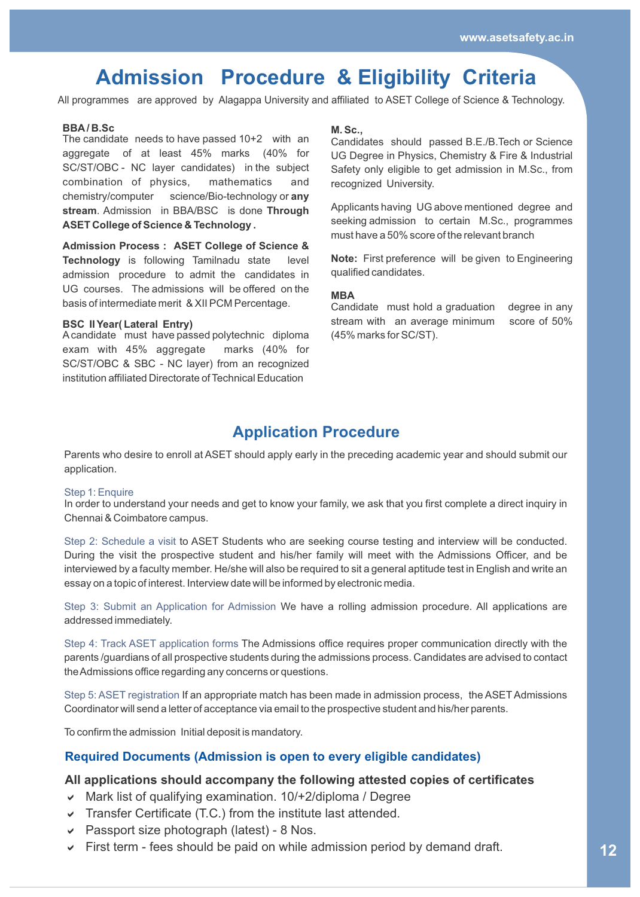### **Admission Procedure & Eligibility Criteria**

All programmes are approved by Alagappa University and affiliated to ASET College of Science & Technology.

#### **BBA/ B.Sc**

The candidate needs to have passed 10+2 with an aggregate of at least 45% marks (40% for SC/ST/OBC - NC layer candidates) in the subject combination of physics, mathematics and chemistry/computer science/Bio-technology or **any stream**. Admission in BBA/BSC is done **Through ASET College of Science & Technology .** 

**Admission Process : ASET College of Science & Technology** is following Tamilnadu state level admission procedure to admit the candidates in UG courses. The admissions will be offered on the basis of intermediate merit & XII PCM Percentage.

#### **BSC II Year( Lateral Entry)**

A candidate must have passed polytechnic diploma exam with 45% aggregate marks (40% for SC/ST/OBC & SBC - NC layer) from an recognized institution affiliated Directorate of Technical Education

#### **M. Sc.,**

Candidates should passed B.E./B.Tech or Science UG Degree in Physics, Chemistry & Fire & Industrial Safety only eligible to get admission in M.Sc., from recognized University.

Applicants having UG above mentioned degree and seeking admission to certain M.Sc., programmes must have a 50% score of the relevant branch

**Note:** First preference will be given to Engineering qualified candidates.

#### **MBA**

Candidate must hold a graduation degree in any stream with an average minimum score of 50% (45% marks for SC/ST).

#### **Application Procedure**

Parents who desire to enroll at ASET should apply early in the preceding academic year and should submit our application.

#### Step 1: Enquire

In order to understand your needs and get to know your family, we ask that you first complete a direct inquiry in Chennai & Coimbatore campus.

Step 2: Schedule a visit to ASET Students who are seeking course testing and interview will be conducted. During the visit the prospective student and his/her family will meet with the Admissions Officer, and be interviewed by a faculty member. He/she will also be required to sit a general aptitude test in English and write an essay on a topic of interest. Interview date will be informed by electronic media.

Step 3: Submit an Application for Admission We have a rolling admission procedure. All applications are addressed immediately.

Step 4: Track ASET application forms The Admissions office requires proper communication directly with the parents /guardians of all prospective students during the admissions process. Candidates are advised to contact the Admissions office regarding any concerns or questions.

Step 5: ASET registration If an appropriate match has been made in admission process, the ASET Admissions Coordinator will send a letter of acceptance via email to the prospective student and his/her parents.

To confirm the admission Initial deposit is mandatory.

#### **Required Documents (Admission is open to every eligible candidates)**

#### **All applications should accompany the following attested copies of certificates**

- $\vee$  Mark list of qualifying examination. 10/+2/diploma / Degree
- $\triangledown$  Transfer Certificate (T.C.) from the institute last attended.
- $\vee$  Passport size photograph (latest) 8 Nos.
- $\triangleright$  First term fees should be paid on while admission period by demand draft.